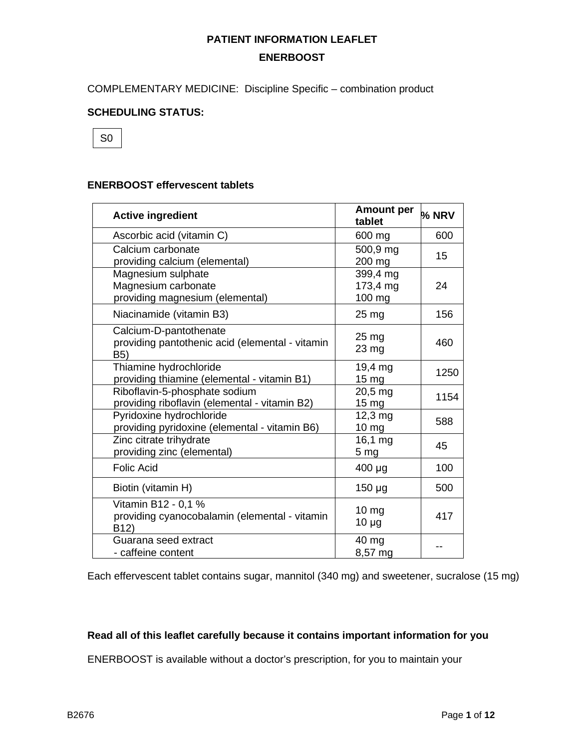COMPLEMENTARY MEDICINE: Discipline Specific – combination product

### **SCHEDULING STATUS:**



#### **ENERBOOST effervescent tablets**

| <b>Active ingredient</b>                                                                  | <b>Amount per</b><br>tablet    | % NRV |
|-------------------------------------------------------------------------------------------|--------------------------------|-------|
| Ascorbic acid (vitamin C)                                                                 | 600 mg                         | 600   |
| Calcium carbonate<br>providing calcium (elemental)                                        | 500,9 mg<br>200 mg             | 15    |
| Magnesium sulphate<br>Magnesium carbonate<br>providing magnesium (elemental)              | 399,4 mg<br>173,4 mg<br>100 mg | 24    |
| Niacinamide (vitamin B3)                                                                  | $25 \,\mathrm{mg}$             | 156   |
| Calcium-D-pantothenate<br>providing pantothenic acid (elemental - vitamin<br>B5)          | 25 <sub>mg</sub><br>23 mg      | 460   |
| Thiamine hydrochloride<br>providing thiamine (elemental - vitamin B1)                     | 19,4 mg<br>15 <sub>mg</sub>    | 1250  |
| Riboflavin-5-phosphate sodium<br>providing riboflavin (elemental - vitamin B2)            | 20,5 mg<br>15 <sub>mg</sub>    | 1154  |
| Pyridoxine hydrochloride<br>providing pyridoxine (elemental - vitamin B6)                 | 12,3 mg<br>10 <sub>mg</sub>    | 588   |
| Zinc citrate trihydrate<br>providing zinc (elemental)                                     | 16,1 mg<br>5 <sub>mg</sub>     | 45    |
| <b>Folic Acid</b>                                                                         | 400 µg                         | 100   |
| Biotin (vitamin H)                                                                        | $150 \mu g$                    | 500   |
| Vitamin B12 - 0,1 %<br>providing cyanocobalamin (elemental - vitamin<br>B <sub>12</sub> ) | 10 <sub>mg</sub><br>$10 \mu g$ | 417   |
| Guarana seed extract<br>- caffeine content                                                | 40 mg<br>8,57 mg               |       |

Each effervescent tablet contains sugar, mannitol (340 mg) and sweetener, sucralose (15 mg)

#### **Read all of this leaflet carefully because it contains important information for you**

ENERBOOST is available without a doctor's prescription, for you to maintain your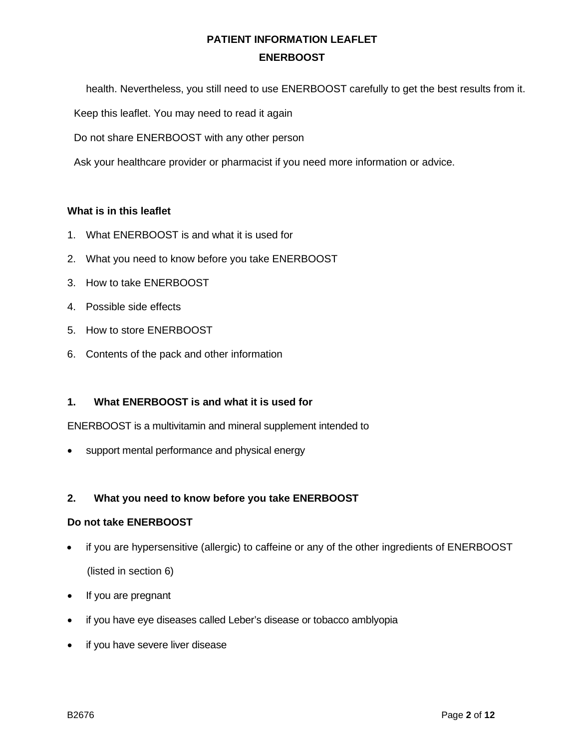health. Nevertheless, you still need to use ENERBOOST carefully to get the best results from it.

Keep this leaflet. You may need to read it again

Do not share ENERBOOST with any other person

Ask your healthcare provider or pharmacist if you need more information or advice.

#### **What is in this leaflet**

- 1. What ENERBOOST is and what it is used for
- 2. What you need to know before you take ENERBOOST
- 3. How to take ENERBOOST
- 4. Possible side effects
- 5. How to store ENERBOOST
- 6. Contents of the pack and other information

# **1. What ENERBOOST is and what it is used for**

ENERBOOST is a multivitamin and mineral supplement intended to

support mental performance and physical energy

# **2. What you need to know before you take ENERBOOST**

# **Do not take ENERBOOST**

- if you are hypersensitive (allergic) to caffeine or any of the other ingredients of ENERBOOST (listed in section 6)
- If you are pregnant
- if you have eye diseases called Leber's disease or tobacco amblyopia
- if you have severe liver disease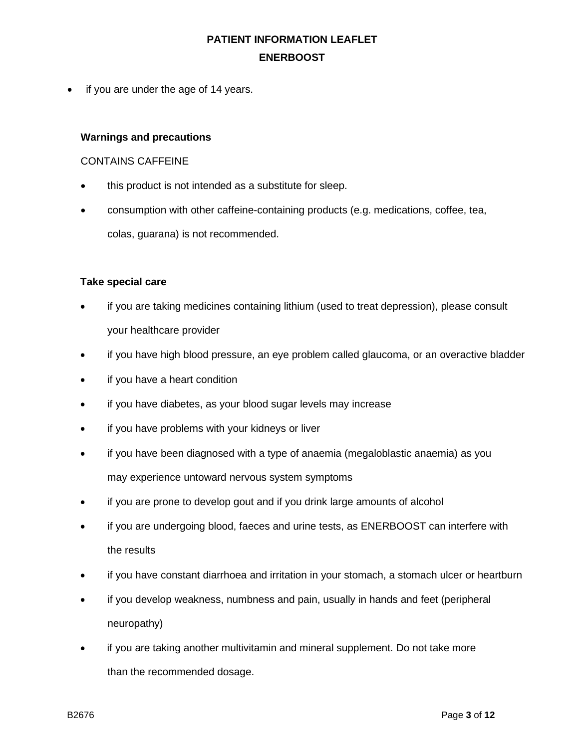• if you are under the age of 14 years.

#### **Warnings and precautions**

#### CONTAINS CAFFEINE

- this product is not intended as a substitute for sleep.
- consumption with other caffeine-containing products (e.g. medications, coffee, tea, colas, guarana) is not recommended.

# **Take special care**

- if you are taking medicines containing lithium (used to treat depression), please consult your healthcare provider
- if you have high blood pressure, an eye problem called glaucoma, or an overactive bladder
- if you have a heart condition
- if you have diabetes, as your blood sugar levels may increase
- if you have problems with your kidneys or liver
- if you have been diagnosed with a type of anaemia (megaloblastic anaemia) as you may experience untoward nervous system symptoms
- if you are prone to develop gout and if you drink large amounts of alcohol
- if you are undergoing blood, faeces and urine tests, as ENERBOOST can interfere with the results
- if you have constant diarrhoea and irritation in your stomach, a stomach ulcer or heartburn
- if you develop weakness, numbness and pain, usually in hands and feet (peripheral neuropathy)
- if you are taking another multivitamin and mineral supplement. Do not take more than the recommended dosage.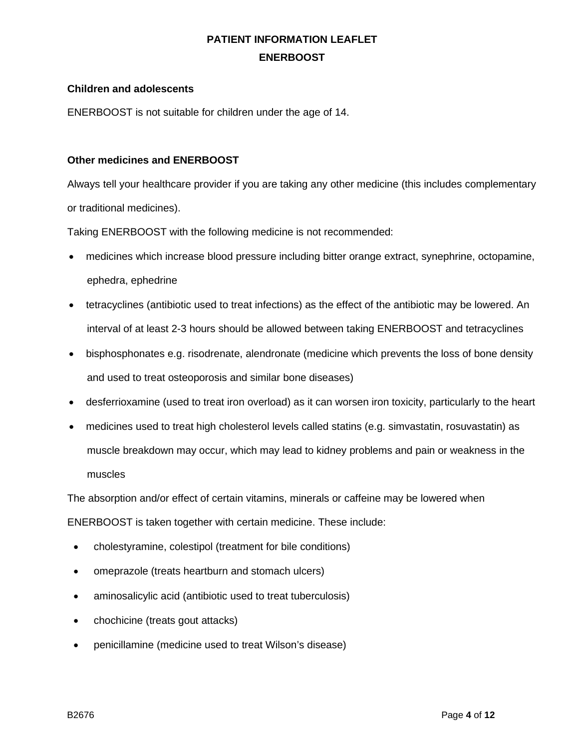### **Children and adolescents**

ENERBOOST is not suitable for children under the age of 14.

#### **Other medicines and ENERBOOST**

Always tell your healthcare provider if you are taking any other medicine (this includes complementary or traditional medicines).

Taking ENERBOOST with the following medicine is not recommended:

- medicines which increase blood pressure including bitter orange extract, synephrine, octopamine, ephedra, ephedrine
- tetracyclines (antibiotic used to treat infections) as the effect of the antibiotic may be lowered. An interval of at least 2-3 hours should be allowed between taking ENERBOOST and tetracyclines
- bisphosphonates e.g. risodrenate, alendronate (medicine which prevents the loss of bone density and used to treat osteoporosis and similar bone diseases)
- desferrioxamine (used to treat iron overload) as it can worsen iron toxicity, particularly to the heart
- medicines used to treat high cholesterol levels called statins (e.g. simvastatin, rosuvastatin) as muscle breakdown may occur, which may lead to kidney problems and pain or weakness in the muscles

The absorption and/or effect of certain vitamins, minerals or caffeine may be lowered when

ENERBOOST is taken together with certain medicine. These include:

- cholestyramine, colestipol (treatment for bile conditions)
- omeprazole (treats heartburn and stomach ulcers)
- aminosalicylic acid (antibiotic used to treat tuberculosis)
- chochicine (treats gout attacks)
- penicillamine (medicine used to treat Wilson's disease)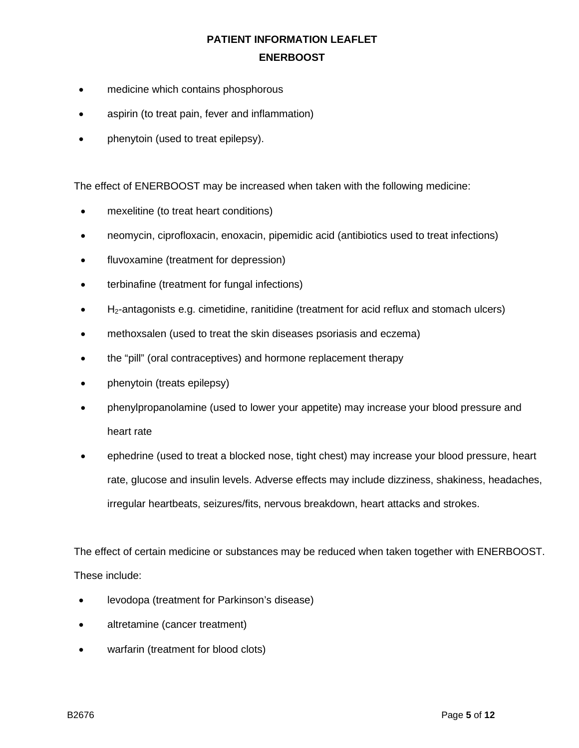- medicine which contains phosphorous
- aspirin (to treat pain, fever and inflammation)
- phenytoin (used to treat epilepsy).

The effect of ENERBOOST may be increased when taken with the following medicine:

- mexelitine (to treat heart conditions)
- neomycin, ciprofloxacin, enoxacin, pipemidic acid (antibiotics used to treat infections)
- fluvoxamine (treatment for depression)
- terbinafine (treatment for fungal infections)
- $\bullet$  H<sub>2</sub>-antagonists e.g. cimetidine, ranitidine (treatment for acid reflux and stomach ulcers)
- methoxsalen (used to treat the skin diseases psoriasis and eczema)
- the "pill" (oral contraceptives) and hormone replacement therapy
- phenytoin (treats epilepsy)
- phenylpropanolamine (used to lower your appetite) may increase your blood pressure and heart rate
- ephedrine (used to treat a blocked nose, tight chest) may increase your blood pressure, heart rate, glucose and insulin levels. Adverse effects may include dizziness, shakiness, headaches, irregular heartbeats, seizures/fits, nervous breakdown, heart attacks and strokes.

The effect of certain medicine or substances may be reduced when taken together with ENERBOOST. These include:

- levodopa (treatment for Parkinson's disease)
- altretamine (cancer treatment)
- warfarin (treatment for blood clots)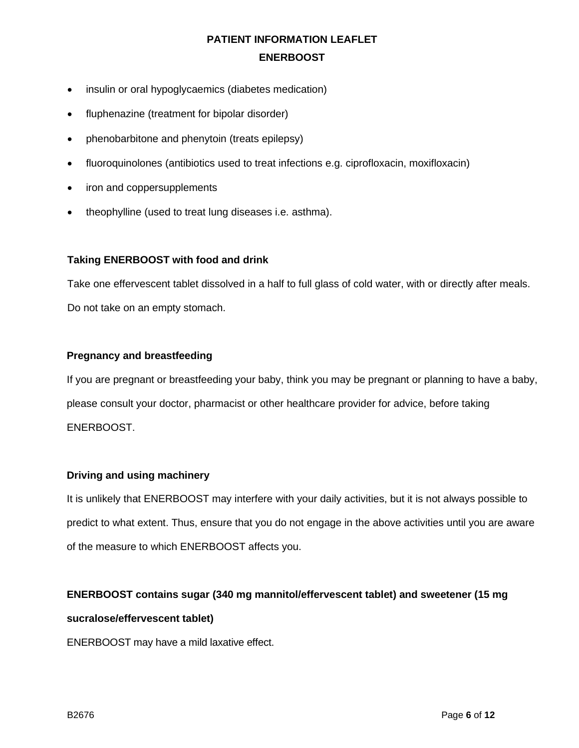- insulin or oral hypoglycaemics (diabetes medication)
- fluphenazine (treatment for bipolar disorder)
- phenobarbitone and phenytoin (treats epilepsy)
- fluoroquinolones (antibiotics used to treat infections e.g. ciprofloxacin, moxifloxacin)
- iron and coppersupplements
- theophylline (used to treat lung diseases i.e. asthma).

# **Taking ENERBOOST with food and drink**

Take one effervescent tablet dissolved in a half to full glass of cold water, with or directly after meals. Do not take on an empty stomach.

# **Pregnancy and breastfeeding**

If you are pregnant or breastfeeding your baby, think you may be pregnant or planning to have a baby, please consult your doctor, pharmacist or other healthcare provider for advice, before taking ENERBOOST.

# **Driving and using machinery**

It is unlikely that ENERBOOST may interfere with your daily activities, but it is not always possible to predict to what extent. Thus, ensure that you do not engage in the above activities until you are aware of the measure to which ENERBOOST affects you.

# **ENERBOOST contains sugar (340 mg mannitol/effervescent tablet) and sweetener (15 mg**

# **sucralose/effervescent tablet)**

ENERBOOST may have a mild laxative effect.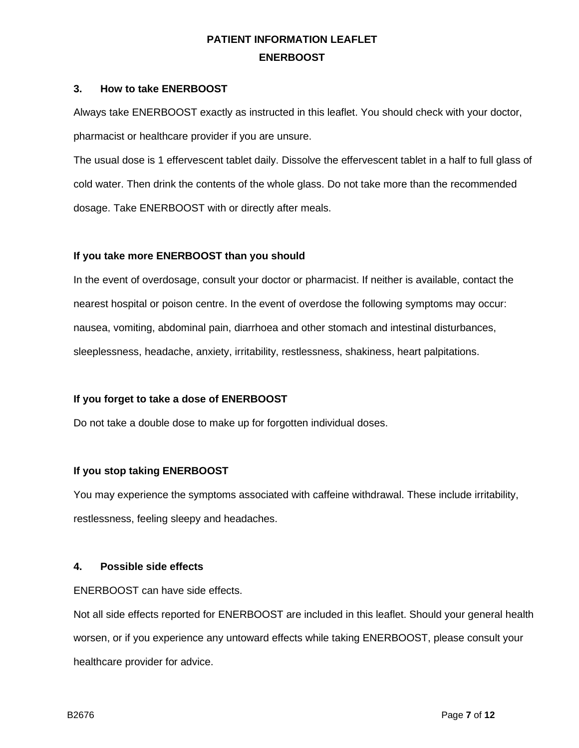#### **3. How to take ENERBOOST**

Always take ENERBOOST exactly as instructed in this leaflet. You should check with your doctor, pharmacist or healthcare provider if you are unsure.

The usual dose is 1 effervescent tablet daily. Dissolve the effervescent tablet in a half to full glass of cold water. Then drink the contents of the whole glass. Do not take more than the recommended dosage. Take ENERBOOST with or directly after meals.

# **If you take more ENERBOOST than you should**

In the event of overdosage, consult your doctor or pharmacist. If neither is available, contact the nearest hospital or poison centre. In the event of overdose the following symptoms may occur: nausea, vomiting, abdominal pain, diarrhoea and other stomach and intestinal disturbances, sleeplessness, headache, anxiety, irritability, restlessness, shakiness, heart palpitations.

# **If you forget to take a dose of ENERBOOST**

Do not take a double dose to make up for forgotten individual doses.

# **If you stop taking ENERBOOST**

You may experience the symptoms associated with caffeine withdrawal. These include irritability, restlessness, feeling sleepy and headaches.

#### **4. Possible side effects**

ENERBOOST can have side effects.

Not all side effects reported for ENERBOOST are included in this leaflet. Should your general health worsen, or if you experience any untoward effects while taking ENERBOOST, please consult your healthcare provider for advice.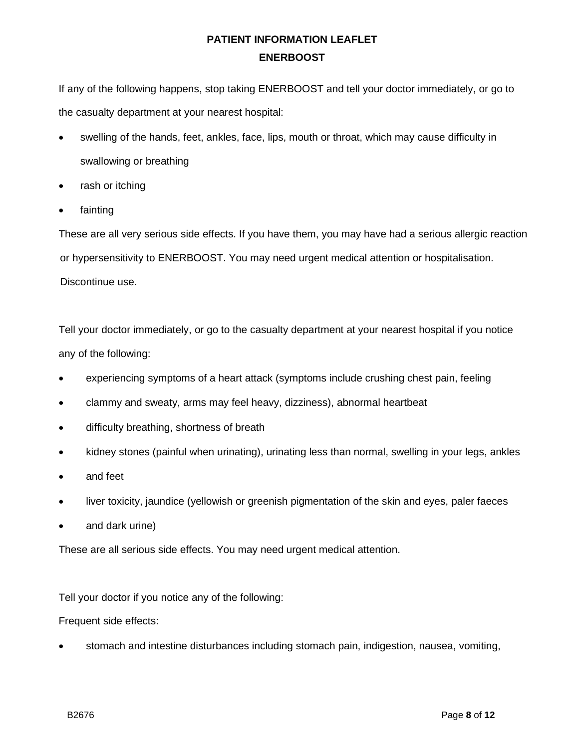If any of the following happens, stop taking ENERBOOST and tell your doctor immediately, or go to the casualty department at your nearest hospital:

- swelling of the hands, feet, ankles, face, lips, mouth or throat, which may cause difficulty in swallowing or breathing
- rash or itching
- fainting

These are all very serious side effects. If you have them, you may have had a serious allergic reaction or hypersensitivity to ENERBOOST. You may need urgent medical attention or hospitalisation. Discontinue use.

Tell your doctor immediately, or go to the casualty department at your nearest hospital if you notice any of the following:

- experiencing symptoms of a heart attack (symptoms include crushing chest pain, feeling
- clammy and sweaty, arms may feel heavy, dizziness), abnormal heartbeat
- difficulty breathing, shortness of breath
- kidney stones (painful when urinating), urinating less than normal, swelling in your legs, ankles
- and feet
- liver toxicity, jaundice (yellowish or greenish pigmentation of the skin and eyes, paler faeces
- and dark urine)

These are all serious side effects. You may need urgent medical attention.

Tell your doctor if you notice any of the following:

Frequent side effects:

• stomach and intestine disturbances including stomach pain, indigestion, nausea, vomiting,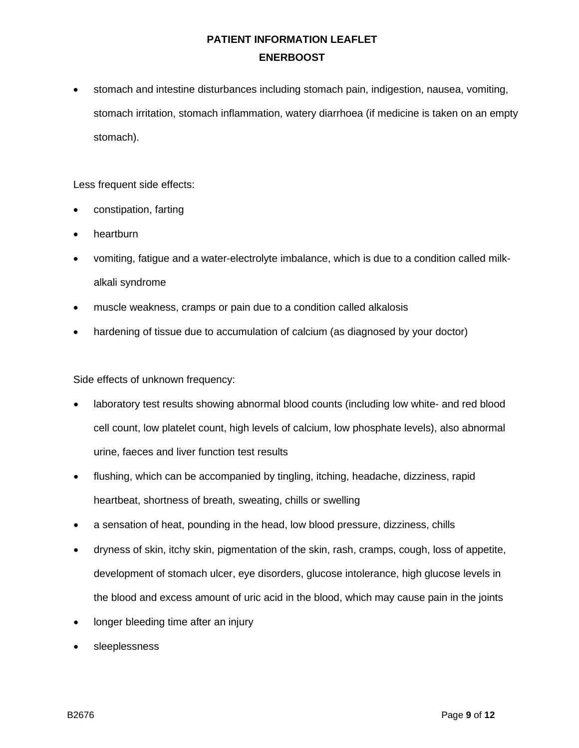• stomach and intestine disturbances including stomach pain, indigestion, nausea, vomiting, stomach irritation, stomach inflammation, watery diarrhoea (if medicine is taken on an empty stomach).

Less frequent side effects:

- constipation, farting
- heartburn
- vomiting, fatigue and a water-electrolyte imbalance, which is due to a condition called milkalkali syndrome
- muscle weakness, cramps or pain due to a condition called alkalosis
- hardening of tissue due to accumulation of calcium (as diagnosed by your doctor)

Side effects of unknown frequency:

- laboratory test results showing abnormal blood counts (including low white- and red blood cell count, low platelet count, high levels of calcium, low phosphate levels), also abnormal urine, faeces and liver function test results
- flushing, which can be accompanied by tingling, itching, headache, dizziness, rapid heartbeat, shortness of breath, sweating, chills or swelling
- a sensation of heat, pounding in the head, low blood pressure, dizziness, chills
- dryness of skin, itchy skin, pigmentation of the skin, rash, cramps, cough, loss of appetite, development of stomach ulcer, eye disorders, glucose intolerance, high glucose levels in the blood and excess amount of uric acid in the blood, which may cause pain in the joints
- longer bleeding time after an injury
- sleeplessness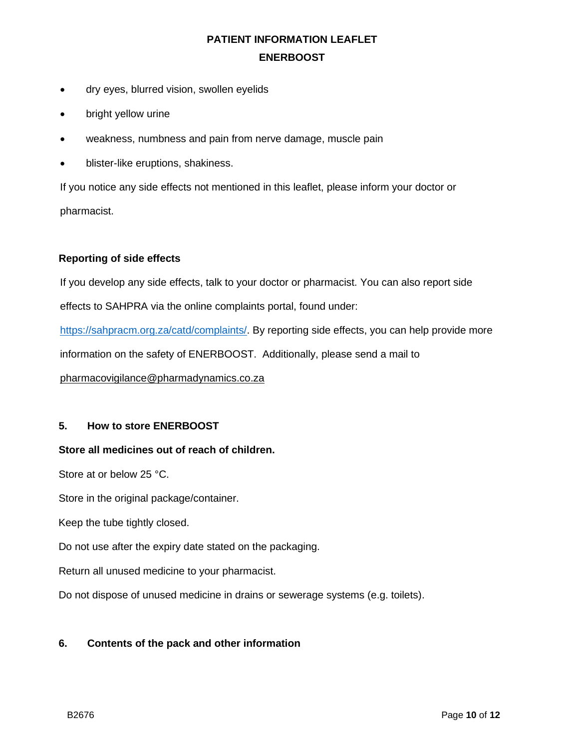- dry eyes, blurred vision, swollen eyelids
- bright yellow urine
- weakness, numbness and pain from nerve damage, muscle pain
- blister-like eruptions, shakiness.

If you notice any side effects not mentioned in this leaflet, please inform your doctor or pharmacist.

# **Reporting of side effects**

If you develop any side effects, talk to your doctor or pharmacist. You can also report side effects to SAHPRA via the online complaints portal, found under: [https://sahpracm.org.za/catd/complaints/.](https://sahpracm.org.za/catd/complaints/) By reporting side effects, you can help provide more information on the safety of ENERBOOST. Additionally, please send a mail to [pharmacovigilance@pharmadynamics.co.za](mailto:pharmacovigilance@pharmadynamics.co.za)

# **5. How to store ENERBOOST**

# **Store all medicines out of reach of children.**

Store at or below 25 °C.

Store in the original package/container.

Keep the tube tightly closed.

Do not use after the expiry date stated on the packaging.

Return all unused medicine to your pharmacist.

Do not dispose of unused medicine in drains or sewerage systems (e.g. toilets).

# **6. Contents of the pack and other information**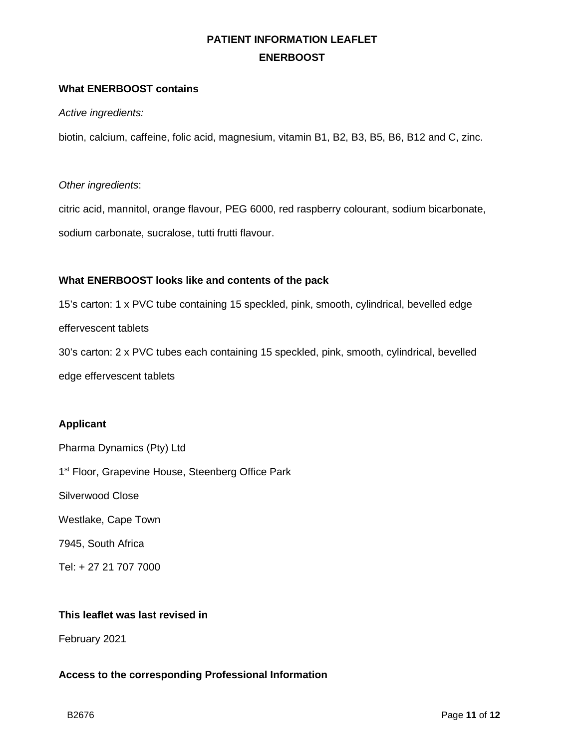### **What ENERBOOST contains**

*Active ingredients:*

biotin, calcium, caffeine, folic acid, magnesium, vitamin B1, B2, B3, B5, B6, B12 and C, zinc.

*Other ingredients*:

citric acid, mannitol, orange flavour, PEG 6000, red raspberry colourant, sodium bicarbonate, sodium carbonate, sucralose, tutti frutti flavour.

# **What ENERBOOST looks like and contents of the pack**

15's carton: 1 x PVC tube containing 15 speckled, pink, smooth, cylindrical, bevelled edge effervescent tablets 30's carton: 2 x PVC tubes each containing 15 speckled, pink, smooth, cylindrical, bevelled edge effervescent tablets

#### **Applicant**

Pharma Dynamics (Pty) Ltd 1<sup>st</sup> Floor, Grapevine House, Steenberg Office Park Silverwood Close Westlake, Cape Town 7945, South Africa Tel: + 27 21 707 7000

# **This leaflet was last revised in**

February 2021

# **Access to the corresponding Professional Information**